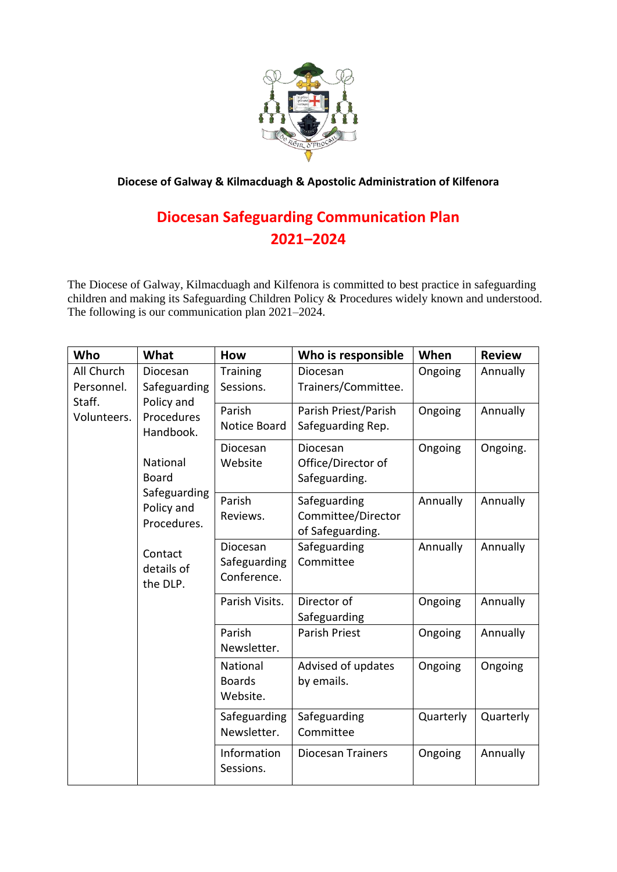

**Diocese of Galway & Kilmacduagh & Apostolic Administration of Kilfenora**

## **Diocesan Safeguarding Communication Plan 2021–2024**

The Diocese of Galway, Kilmacduagh and Kilfenora is committed to best practice in safeguarding children and making its Safeguarding Children Policy & Procedures widely known and understood. The following is our communication plan 2021–2024.

| Who                                               | What                                                                  | <b>How</b>                              | Who is responsible                                     | When      | <b>Review</b> |
|---------------------------------------------------|-----------------------------------------------------------------------|-----------------------------------------|--------------------------------------------------------|-----------|---------------|
| All Church<br>Personnel.<br>Staff.<br>Volunteers. | Diocesan<br>Safeguarding<br>Policy and<br>Procedures<br>Handbook.     | Training<br>Sessions.                   | Diocesan<br>Trainers/Committee.                        | Ongoing   | Annually      |
|                                                   |                                                                       | Parish<br><b>Notice Board</b>           | Parish Priest/Parish<br>Safeguarding Rep.              | Ongoing   | Annually      |
|                                                   | National<br><b>Board</b><br>Safeguarding<br>Policy and<br>Procedures. | Diocesan<br>Website                     | Diocesan<br>Office/Director of<br>Safeguarding.        | Ongoing   | Ongoing.      |
|                                                   |                                                                       | Parish<br>Reviews.                      | Safeguarding<br>Committee/Director<br>of Safeguarding. | Annually  | Annually      |
|                                                   | Contact<br>details of<br>the DLP.                                     | Diocesan<br>Safeguarding<br>Conference. | Safeguarding<br>Committee                              | Annually  | Annually      |
|                                                   |                                                                       | Parish Visits.                          | Director of<br>Safeguarding                            | Ongoing   | Annually      |
|                                                   |                                                                       | Parish<br>Newsletter.                   | <b>Parish Priest</b>                                   | Ongoing   | Annually      |
|                                                   |                                                                       | National<br><b>Boards</b><br>Website.   | Advised of updates<br>by emails.                       | Ongoing   | Ongoing       |
|                                                   |                                                                       | Safeguarding<br>Newsletter.             | Safeguarding<br>Committee                              | Quarterly | Quarterly     |
|                                                   |                                                                       | Information<br>Sessions.                | <b>Diocesan Trainers</b>                               | Ongoing   | Annually      |